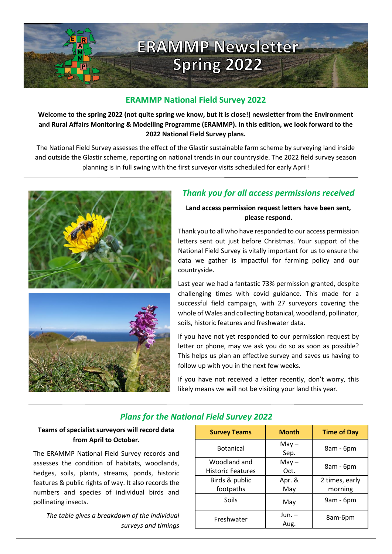

## **ERAMMP National Field Survey 2022**

**Welcome to the spring 2022 (not quite spring we know, but it is close!) newsletter from the Environment and Rural Affairs Monitoring & Modelling Programme (ERAMMP). In this edition, we look forward to the 2022 National Field Survey plans.**

The National Field Survey assesses the effect of the Glastir sustainable farm scheme by surveying land inside and outside the Glastir scheme, reporting on national trends in our countryside. The 2022 field survey season planning is in full swing with the first surveyor visits scheduled for early April!





## *Thank you for all access permissions received*

**Land access permission request letters have been sent, please respond.**

Thank you to all who have responded to our access permission letters sent out just before Christmas. Your support of the National Field Survey is vitally important for us to ensure the data we gather is impactful for farming policy and our countryside.

Last year we had a fantastic 73% permission granted, despite challenging times with covid guidance. This made for a successful field campaign, with 27 surveyors covering the whole of Wales and collecting botanical, woodland, pollinator, soils, historic features and freshwater data.

If you have not yet responded to our permission request by letter or phone, may we ask you do so as soon as possible? This helps us plan an effective survey and saves us having to follow up with you in the next few weeks.

If you have not received a letter recently, don't worry, this likely means we will not be visiting your land this year.

## *Plans for the National Field Survey 2022*

### **Teams of specialist surveyors will record data from April to October.**

The ERAMMP National Field Survey records and assesses the condition of habitats, woodlands, hedges, soils, plants, streams, ponds, historic features & public rights of way. It also records the numbers and species of individual birds and pollinating insects.

*The table gives a breakdown of the individual surveys and timings*

| <b>Survey Teams</b>      | <b>Month</b> | <b>Time of Day</b> |
|--------------------------|--------------|--------------------|
| <b>Botanical</b>         | $May -$      | 8am - 6pm          |
|                          | Sep.         |                    |
| Woodland and             | $May -$      | 8am - 6pm          |
| <b>Historic Features</b> | Oct.         |                    |
| Birds & public           | Apr. &       | 2 times, early     |
| footpaths                | May          | morning            |
| Soils                    | May          | 9am - 6pm          |
| Freshwater               | Jun. –       | 8am-6pm            |
|                          | Aug.         |                    |